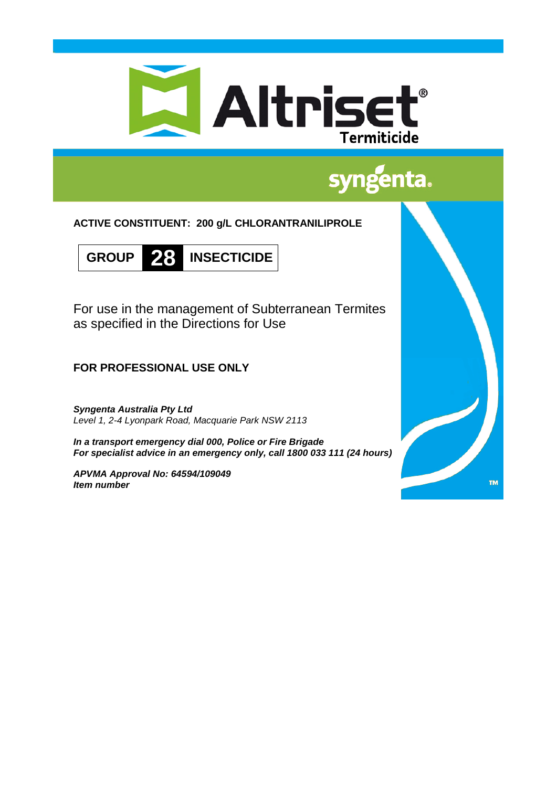

# syngenta.

**ACTIVE CONSTITUENT: 200 g/L CHLORANTRANILIPROLE**



For use in the management of Subterranean Termites as specified in the Directions for Use

**FOR PROFESSIONAL USE ONLY**

*Syngenta Australia Pty Ltd Level 1, 2-4 Lyonpark Road, Macquarie Park NSW 2113*

*In a transport emergency dial 000, Police or Fire Brigade For specialist advice in an emergency only, call 1800 033 111 (24 hours)*

*APVMA Approval No: 64594/109049 Item number*

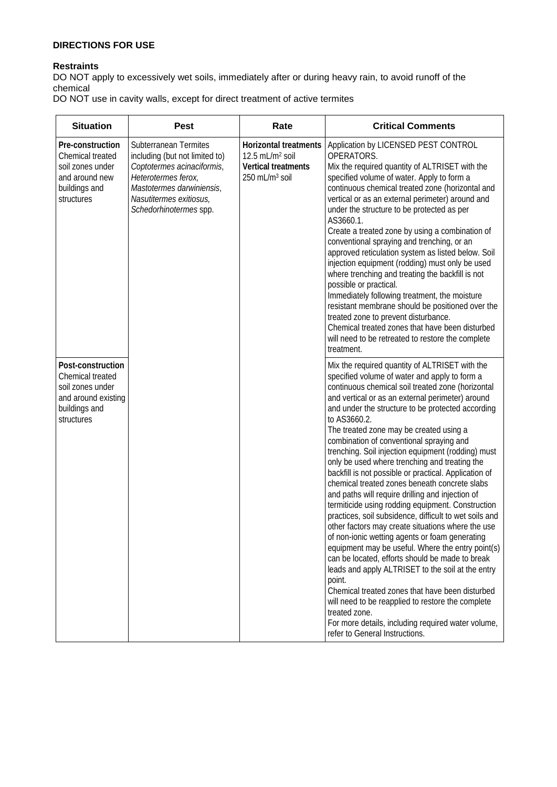# **DIRECTIONS FOR USE**

# **Restraints**

DO NOT apply to excessively wet soils, immediately after or during heavy rain, to avoid runoff of the chemical

DO NOT use in cavity walls, except for direct treatment of active termites

| <b>Situation</b>                                                                                                | <b>Pest</b>                                                                                                                                                                                    | Rate                                                                                                      | <b>Critical Comments</b>                                                                                                                                                                                                                                                                                                                                                                                                                                                                                                                                                                                                                                                                                                                                                                                                                                                                                                                                                                                                                                                                                                                                                                                                                                |
|-----------------------------------------------------------------------------------------------------------------|------------------------------------------------------------------------------------------------------------------------------------------------------------------------------------------------|-----------------------------------------------------------------------------------------------------------|---------------------------------------------------------------------------------------------------------------------------------------------------------------------------------------------------------------------------------------------------------------------------------------------------------------------------------------------------------------------------------------------------------------------------------------------------------------------------------------------------------------------------------------------------------------------------------------------------------------------------------------------------------------------------------------------------------------------------------------------------------------------------------------------------------------------------------------------------------------------------------------------------------------------------------------------------------------------------------------------------------------------------------------------------------------------------------------------------------------------------------------------------------------------------------------------------------------------------------------------------------|
| Pre-construction<br>Chemical treated<br>soil zones under<br>and around new<br>buildings and<br>structures       | Subterranean Termites<br>including (but not limited to)<br>Coptotermes acinaciformis,<br>Heterotermes ferox,<br>Mastotermes darwiniensis,<br>Nasutitermes exitiosus,<br>Schedorhinotermes spp. | Horizontal treatments<br>12.5 mL/m <sup>2</sup> soil<br>Vertical treatments<br>250 mL/m <sup>3</sup> soil | Application by LICENSED PEST CONTROL<br>OPERATORS.<br>Mix the required quantity of ALTRISET with the<br>specified volume of water. Apply to form a<br>continuous chemical treated zone (horizontal and<br>vertical or as an external perimeter) around and<br>under the structure to be protected as per<br>AS3660.1.<br>Create a treated zone by using a combination of<br>conventional spraying and trenching, or an<br>approved reticulation system as listed below. Soil<br>injection equipment (rodding) must only be used<br>where trenching and treating the backfill is not<br>possible or practical.<br>Immediately following treatment, the moisture<br>resistant membrane should be positioned over the<br>treated zone to prevent disturbance.<br>Chemical treated zones that have been disturbed<br>will need to be retreated to restore the complete<br>treatment.                                                                                                                                                                                                                                                                                                                                                                        |
| Post-construction<br>Chemical treated<br>soil zones under<br>and around existing<br>buildings and<br>structures |                                                                                                                                                                                                |                                                                                                           | Mix the required quantity of ALTRISET with the<br>specified volume of water and apply to form a<br>continuous chemical soil treated zone (horizontal<br>and vertical or as an external perimeter) around<br>and under the structure to be protected according<br>to AS3660.2.<br>The treated zone may be created using a<br>combination of conventional spraying and<br>trenching. Soil injection equipment (rodding) must<br>only be used where trenching and treating the<br>backfill is not possible or practical. Application of<br>chemical treated zones beneath concrete slabs<br>and paths will require drilling and injection of<br>termiticide using rodding equipment. Construction<br>practices, soil subsidence, difficult to wet soils and<br>other factors may create situations where the use<br>of non-ionic wetting agents or foam generating<br>equipment may be useful. Where the entry point(s)<br>can be located, efforts should be made to break<br>leads and apply ALTRISET to the soil at the entry<br>point.<br>Chemical treated zones that have been disturbed<br>will need to be reapplied to restore the complete<br>treated zone.<br>For more details, including required water volume,<br>refer to General Instructions. |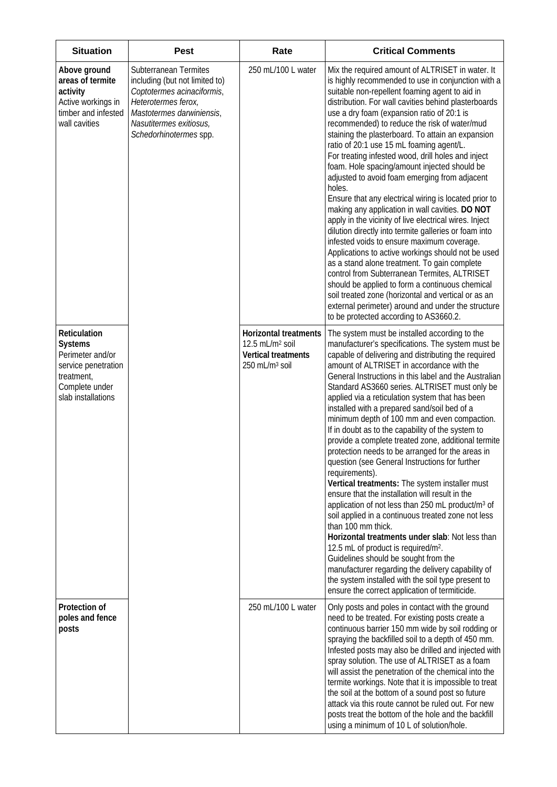| <b>Situation</b>                                                                                                                | <b>Pest</b>                                                                                                                                                                                    | Rate                                                                                                             | <b>Critical Comments</b>                                                                                                                                                                                                                                                                                                                                                                                                                                                                                                                                                                                                                                                                                                                                                                                                                                                                                                                                                                                                                                                                                                                                                                                                                                             |
|---------------------------------------------------------------------------------------------------------------------------------|------------------------------------------------------------------------------------------------------------------------------------------------------------------------------------------------|------------------------------------------------------------------------------------------------------------------|----------------------------------------------------------------------------------------------------------------------------------------------------------------------------------------------------------------------------------------------------------------------------------------------------------------------------------------------------------------------------------------------------------------------------------------------------------------------------------------------------------------------------------------------------------------------------------------------------------------------------------------------------------------------------------------------------------------------------------------------------------------------------------------------------------------------------------------------------------------------------------------------------------------------------------------------------------------------------------------------------------------------------------------------------------------------------------------------------------------------------------------------------------------------------------------------------------------------------------------------------------------------|
| Above ground<br>areas of termite<br>activity<br>Active workings in<br>timber and infested<br>wall cavities                      | Subterranean Termites<br>including (but not limited to)<br>Coptotermes acinaciformis,<br>Heterotermes ferox,<br>Mastotermes darwiniensis,<br>Nasutitermes exitiosus,<br>Schedorhinotermes spp. | 250 mL/100 L water                                                                                               | Mix the required amount of ALTRISET in water. It<br>is highly recommended to use in conjunction with a<br>suitable non-repellent foaming agent to aid in<br>distribution. For wall cavities behind plasterboards<br>use a dry foam (expansion ratio of 20:1 is<br>recommended) to reduce the risk of water/mud<br>staining the plasterboard. To attain an expansion<br>ratio of 20:1 use 15 mL foaming agent/L.<br>For treating infested wood, drill holes and inject<br>foam. Hole spacing/amount injected should be<br>adjusted to avoid foam emerging from adjacent<br>holes.<br>Ensure that any electrical wiring is located prior to<br>making any application in wall cavities. DO NOT<br>apply in the vicinity of live electrical wires. Inject<br>dilution directly into termite galleries or foam into<br>infested voids to ensure maximum coverage.<br>Applications to active workings should not be used<br>as a stand alone treatment. To gain complete<br>control from Subterranean Termites, ALTRISET<br>should be applied to form a continuous chemical<br>soil treated zone (horizontal and vertical or as an<br>external perimeter) around and under the structure<br>to be protected according to AS3660.2.                                        |
| Reticulation<br><b>Systems</b><br>Perimeter and/or<br>service penetration<br>treatment,<br>Complete under<br>slab installations |                                                                                                                                                                                                | <b>Horizontal treatments</b><br>12.5 mL/m <sup>2</sup> soil<br>Vertical treatments<br>250 mL/m <sup>3</sup> soil | The system must be installed according to the<br>manufacturer's specifications. The system must be<br>capable of delivering and distributing the required<br>amount of ALTRISET in accordance with the<br>General Instructions in this label and the Australian<br>Standard AS3660 series. ALTRISET must only be<br>applied via a reticulation system that has been<br>installed with a prepared sand/soil bed of a<br>minimum depth of 100 mm and even compaction.<br>If in doubt as to the capability of the system to<br>provide a complete treated zone, additional termite<br>protection needs to be arranged for the areas in<br>question (see General Instructions for further<br>requirements).<br>Vertical treatments: The system installer must<br>ensure that the installation will result in the<br>application of not less than 250 mL product/m <sup>3</sup> of<br>soil applied in a continuous treated zone not less<br>than 100 mm thick.<br>Horizontal treatments under slab: Not less than<br>12.5 mL of product is required/m <sup>2</sup> .<br>Guidelines should be sought from the<br>manufacturer regarding the delivery capability of<br>the system installed with the soil type present to<br>ensure the correct application of termiticide. |
| Protection of<br>poles and fence<br>posts                                                                                       |                                                                                                                                                                                                | 250 mL/100 L water                                                                                               | Only posts and poles in contact with the ground<br>need to be treated. For existing posts create a<br>continuous barrier 150 mm wide by soil rodding or<br>spraying the backfilled soil to a depth of 450 mm.<br>Infested posts may also be drilled and injected with<br>spray solution. The use of ALTRISET as a foam<br>will assist the penetration of the chemical into the<br>termite workings. Note that it is impossible to treat<br>the soil at the bottom of a sound post so future<br>attack via this route cannot be ruled out. For new<br>posts treat the bottom of the hole and the backfill<br>using a minimum of 10 L of solution/hole.                                                                                                                                                                                                                                                                                                                                                                                                                                                                                                                                                                                                                |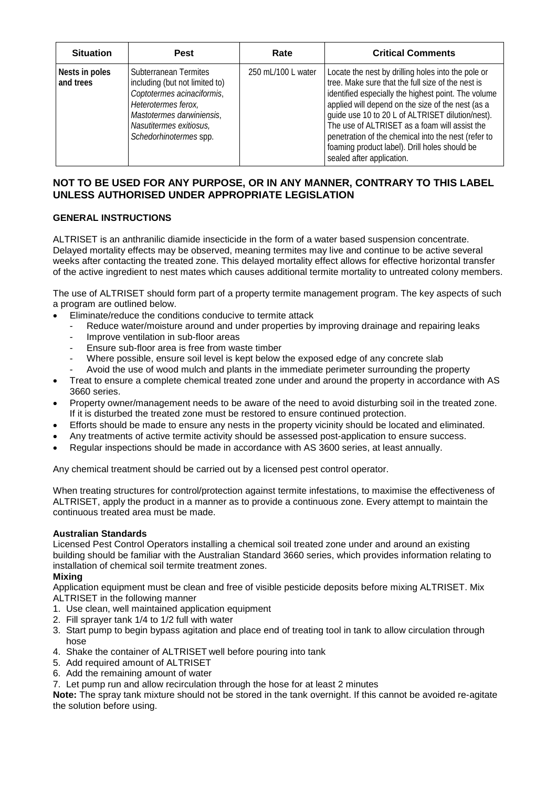| <b>Situation</b>            | <b>Pest</b>                                                                                                                                                                                    | Rate               | <b>Critical Comments</b>                                                                                                                                                                                                                                                                                                                                                                                                                                      |
|-----------------------------|------------------------------------------------------------------------------------------------------------------------------------------------------------------------------------------------|--------------------|---------------------------------------------------------------------------------------------------------------------------------------------------------------------------------------------------------------------------------------------------------------------------------------------------------------------------------------------------------------------------------------------------------------------------------------------------------------|
| Nests in poles<br>and trees | Subterranean Termites<br>including (but not limited to)<br>Coptotermes acinaciformis,<br>Heterotermes ferox,<br>Mastotermes darwiniensis,<br>Nasutitermes exitiosus,<br>Schedorhinotermes spp. | 250 mL/100 L water | Locate the nest by drilling holes into the pole or<br>tree. Make sure that the full size of the nest is<br>identified especially the highest point. The volume<br>applied will depend on the size of the nest (as a<br>guide use 10 to 20 L of ALTRISET dilution/nest).<br>The use of ALTRISET as a foam will assist the<br>penetration of the chemical into the nest (refer to<br>foaming product label). Drill holes should be<br>sealed after application. |

# **NOT TO BE USED FOR ANY PURPOSE, OR IN ANY MANNER, CONTRARY TO THIS LABEL UNLESS AUTHORISED UNDER APPROPRIATE LEGISLATION**

# **GENERAL INSTRUCTIONS**

ALTRISET is an anthranilic diamide insecticide in the form of a water based suspension concentrate. Delayed mortality effects may be observed, meaning termites may live and continue to be active several weeks after contacting the treated zone. This delayed mortality effect allows for effective horizontal transfer of the active ingredient to nest mates which causes additional termite mortality to untreated colony members.

The use of ALTRISET should form part of a property termite management program. The key aspects of such a program are outlined below.

- Eliminate/reduce the conditions conducive to termite attack
	- Reduce water/moisture around and under properties by improving drainage and repairing leaks
	- Improve ventilation in sub-floor areas
	- Ensure sub-floor area is free from waste timber
	- Where possible, ensure soil level is kept below the exposed edge of any concrete slab
	- Avoid the use of wood mulch and plants in the immediate perimeter surrounding the property
- Treat to ensure a complete chemical treated zone under and around the property in accordance with AS 3660 series.
- Property owner/management needs to be aware of the need to avoid disturbing soil in the treated zone. If it is disturbed the treated zone must be restored to ensure continued protection.
- Efforts should be made to ensure any nests in the property vicinity should be located and eliminated.
- Any treatments of active termite activity should be assessed post-application to ensure success.
- Regular inspections should be made in accordance with AS 3600 series, at least annually.

Any chemical treatment should be carried out by a licensed pest control operator.

When treating structures for control/protection against termite infestations, to maximise the effectiveness of ALTRISET, apply the product in a manner as to provide a continuous zone. Every attempt to maintain the continuous treated area must be made.

## **Australian Standards**

Licensed Pest Control Operators installing a chemical soil treated zone under and around an existing building should be familiar with the Australian Standard 3660 series, which provides information relating to installation of chemical soil termite treatment zones.

# **Mixing**

Application equipment must be clean and free of visible pesticide deposits before mixing ALTRISET. Mix ALTRISET in the following manner

- 1. Use clean, well maintained application equipment
- 2. Fill sprayer tank 1/4 to 1/2 full with water
- 3. Start pump to begin bypass agitation and place end of treating tool in tank to allow circulation through hose
- 4. Shake the container of ALTRISET well before pouring into tank
- 5. Add required amount of ALTRISET
- 6. Add the remaining amount of water
- 7. Let pump run and allow recirculation through the hose for at least 2 minutes

**Note:** The spray tank mixture should not be stored in the tank overnight. If this cannot be avoided re-agitate the solution before using.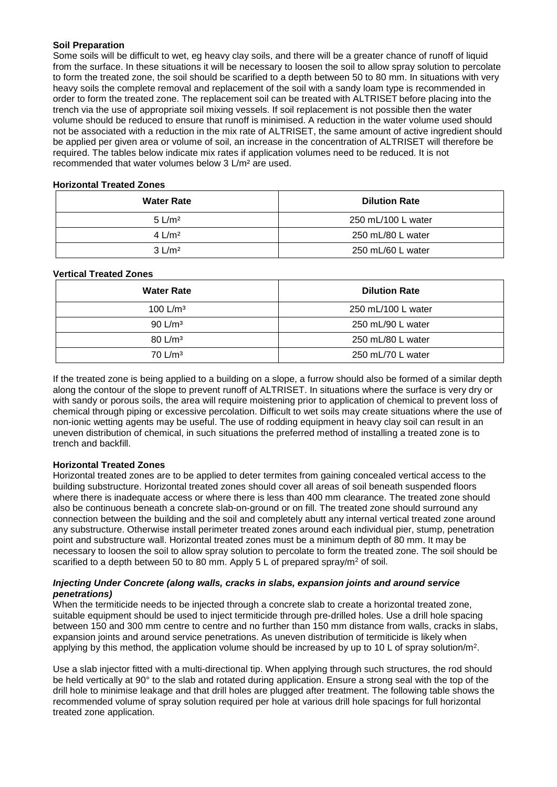## **Soil Preparation**

Some soils will be difficult to wet, eg heavy clay soils, and there will be a greater chance of runoff of liquid from the surface. In these situations it will be necessary to loosen the soil to allow spray solution to percolate to form the treated zone, the soil should be scarified to a depth between 50 to 80 mm. In situations with very heavy soils the complete removal and replacement of the soil with a sandy loam type is recommended in order to form the treated zone. The replacement soil can be treated with ALTRISET before placing into the trench via the use of appropriate soil mixing vessels. If soil replacement is not possible then the water volume should be reduced to ensure that runoff is minimised. A reduction in the water volume used should not be associated with a reduction in the mix rate of ALTRISET, the same amount of active ingredient should be applied per given area or volume of soil, an increase in the concentration of ALTRISET will therefore be required. The tables below indicate mix rates if application volumes need to be reduced. It is not recommended that water volumes below 3 L/m² are used.

## **Horizontal Treated Zones**

| <b>Water Rate</b> | <b>Dilution Rate</b> |
|-------------------|----------------------|
| $5 \text{ L/m}^2$ | 250 mL/100 L water   |
| 4 $L/m^2$         | 250 mL/80 L water    |
| $3 \text{ L/m}^2$ | 250 mL/60 L water    |

## **Vertical Treated Zones**

| <b>Water Rate</b>    | <b>Dilution Rate</b> |
|----------------------|----------------------|
| 100 L/m <sup>3</sup> | 250 mL/100 L water   |
| 90 L/m <sup>3</sup>  | 250 mL/90 L water    |
| 80 L/m <sup>3</sup>  | 250 mL/80 L water    |
| $70 \text{ L/m}^3$   | 250 mL/70 L water    |

If the treated zone is being applied to a building on a slope, a furrow should also be formed of a similar depth along the contour of the slope to prevent runoff of ALTRISET. In situations where the surface is very dry or with sandy or porous soils, the area will require moistening prior to application of chemical to prevent loss of chemical through piping or excessive percolation. Difficult to wet soils may create situations where the use of non-ionic wetting agents may be useful. The use of rodding equipment in heavy clay soil can result in an uneven distribution of chemical, in such situations the preferred method of installing a treated zone is to trench and backfill.

## **Horizontal Treated Zones**

Horizontal treated zones are to be applied to deter termites from gaining concealed vertical access to the building substructure. Horizontal treated zones should cover all areas of soil beneath suspended floors where there is inadequate access or where there is less than 400 mm clearance. The treated zone should also be continuous beneath a concrete slab-on-ground or on fill. The treated zone should surround any connection between the building and the soil and completely abutt any internal vertical treated zone around any substructure. Otherwise install perimeter treated zones around each individual pier, stump, penetration point and substructure wall. Horizontal treated zones must be a minimum depth of 80 mm. It may be necessary to loosen the soil to allow spray solution to percolate to form the treated zone. The soil should be scarified to a depth between 50 to 80 mm. Apply 5 L of prepared spray/ $m^2$  of soil.

## *Injecting Under Concrete (along walls, cracks in slabs, expansion joints and around service penetrations)*

When the termiticide needs to be injected through a concrete slab to create a horizontal treated zone, suitable equipment should be used to inject termiticide through pre-drilled holes. Use a drill hole spacing between 150 and 300 mm centre to centre and no further than 150 mm distance from walls, cracks in slabs, expansion joints and around service penetrations. As uneven distribution of termiticide is likely when applying by this method, the application volume should be increased by up to 10 L of spray solution/ $m^2$ .

Use a slab injector fitted with a multi-directional tip. When applying through such structures, the rod should be held vertically at 90° to the slab and rotated during application. Ensure a strong seal with the top of the drill hole to minimise leakage and that drill holes are plugged after treatment. The following table shows the recommended volume of spray solution required per hole at various drill hole spacings for full horizontal treated zone application.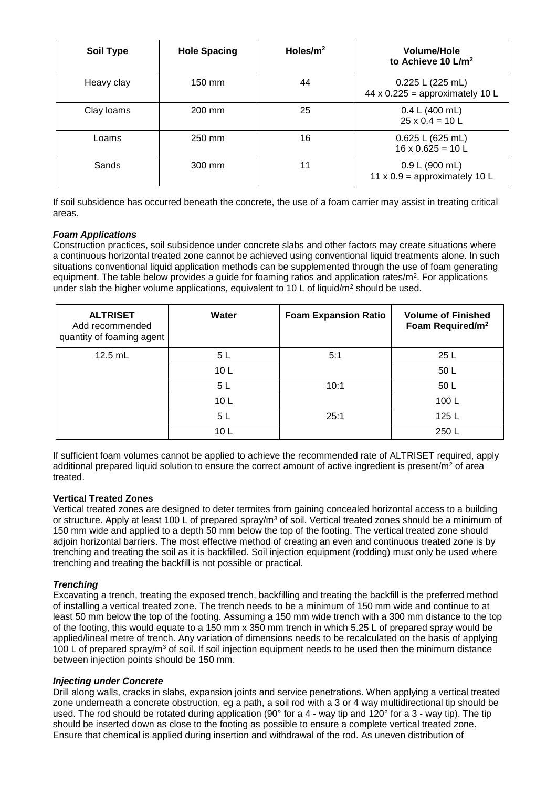| <b>Soil Type</b> | <b>Hole Spacing</b> | Holes/m <sup>2</sup> | Volume/Hole<br>to Achieve 10 L/m <sup>2</sup>         |
|------------------|---------------------|----------------------|-------------------------------------------------------|
| Heavy clay       | 150 mm              | 44                   | 0.225 L (225 mL)<br>44 x $0.225$ = approximately 10 L |
| Clay Ioams       | 200 mm              | 25                   | 0.4 L (400 mL)<br>$25 \times 0.4 = 10$ L              |
| Loams            | 250 mm              | 16                   | 0.625 L (625 mL)<br>$16 \times 0.625 = 10$ L          |
| Sands            | 300 mm              | 11                   | 0.9 L (900 mL)<br>11 x $0.9$ = approximately 10 L     |

If soil subsidence has occurred beneath the concrete, the use of a foam carrier may assist in treating critical areas.

## *Foam Applications*

Construction practices, soil subsidence under concrete slabs and other factors may create situations where a continuous horizontal treated zone cannot be achieved using conventional liquid treatments alone. In such situations conventional liquid application methods can be supplemented through the use of foam generating equipment. The table below provides a guide for foaming ratios and application rates/ $m<sup>2</sup>$ . For applications under slab the higher volume applications, equivalent to 10 L of liquid/m<sup>2</sup> should be used.

| <b>ALTRISET</b><br>Add recommended<br>quantity of foaming agent | Water           | <b>Foam Expansion Ratio</b> | <b>Volume of Finished</b><br>Foam Required/m <sup>2</sup> |
|-----------------------------------------------------------------|-----------------|-----------------------------|-----------------------------------------------------------|
| $12.5$ mL                                                       | 5 L             | 5:1                         | 25 L                                                      |
|                                                                 | 10L             |                             | 50L                                                       |
|                                                                 | 5L              | 10:1                        | 50 L                                                      |
|                                                                 | 10 <sub>L</sub> |                             | 100L                                                      |
|                                                                 | 5L              | 25:1                        | 125 L                                                     |
|                                                                 | 10 <sub>L</sub> |                             | 250L                                                      |

If sufficient foam volumes cannot be applied to achieve the recommended rate of ALTRISET required, apply additional prepared liquid solution to ensure the correct amount of active ingredient is present/ $m<sup>2</sup>$  of area treated.

#### **Vertical Treated Zones**

Vertical treated zones are designed to deter termites from gaining concealed horizontal access to a building or structure. Apply at least 100 L of prepared spray/ $m<sup>3</sup>$  of soil. Vertical treated zones should be a minimum of 150 mm wide and applied to a depth 50 mm below the top of the footing. The vertical treated zone should adjoin horizontal barriers. The most effective method of creating an even and continuous treated zone is by trenching and treating the soil as it is backfilled. Soil injection equipment (rodding) must only be used where trenching and treating the backfill is not possible or practical.

## *Trenching*

Excavating a trench, treating the exposed trench, backfilling and treating the backfill is the preferred method of installing a vertical treated zone. The trench needs to be a minimum of 150 mm wide and continue to at least 50 mm below the top of the footing. Assuming a 150 mm wide trench with a 300 mm distance to the top of the footing, this would equate to a 150 mm x 350 mm trench in which 5.25 L of prepared spray would be applied/lineal metre of trench. Any variation of dimensions needs to be recalculated on the basis of applying 100 L of prepared spray/m<sup>3</sup> of soil. If soil injection equipment needs to be used then the minimum distance between injection points should be 150 mm.

#### *Injecting under Concrete*

Drill along walls, cracks in slabs, expansion joints and service penetrations. When applying a vertical treated zone underneath a concrete obstruction, eg a path, a soil rod with a 3 or 4 way multidirectional tip should be used. The rod should be rotated during application (90° for a 4 - way tip and 120° for a 3 - way tip). The tip should be inserted down as close to the footing as possible to ensure a complete vertical treated zone. Ensure that chemical is applied during insertion and withdrawal of the rod. As uneven distribution of